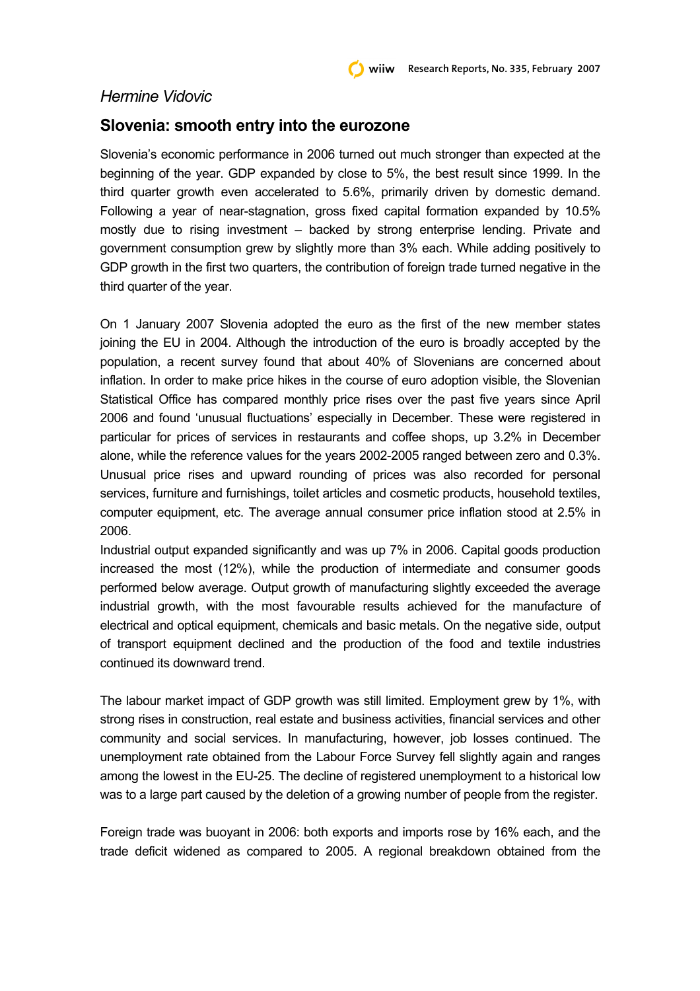## *Hermine Vidovic*

## **Slovenia: smooth entry into the eurozone**

Slovenia's economic performance in 2006 turned out much stronger than expected at the beginning of the year. GDP expanded by close to 5%, the best result since 1999. In the third quarter growth even accelerated to 5.6%, primarily driven by domestic demand. Following a year of near-stagnation, gross fixed capital formation expanded by 10.5% mostly due to rising investment – backed by strong enterprise lending. Private and government consumption grew by slightly more than 3% each. While adding positively to GDP growth in the first two quarters, the contribution of foreign trade turned negative in the third quarter of the year.

On 1 January 2007 Slovenia adopted the euro as the first of the new member states joining the EU in 2004. Although the introduction of the euro is broadly accepted by the population, a recent survey found that about 40% of Slovenians are concerned about inflation. In order to make price hikes in the course of euro adoption visible, the Slovenian Statistical Office has compared monthly price rises over the past five years since April 2006 and found 'unusual fluctuations' especially in December. These were registered in particular for prices of services in restaurants and coffee shops, up 3.2% in December alone, while the reference values for the years 2002-2005 ranged between zero and 0.3%. Unusual price rises and upward rounding of prices was also recorded for personal services, furniture and furnishings, toilet articles and cosmetic products, household textiles, computer equipment, etc. The average annual consumer price inflation stood at 2.5% in 2006.

Industrial output expanded significantly and was up 7% in 2006. Capital goods production increased the most (12%), while the production of intermediate and consumer goods performed below average. Output growth of manufacturing slightly exceeded the average industrial growth, with the most favourable results achieved for the manufacture of electrical and optical equipment, chemicals and basic metals. On the negative side, output of transport equipment declined and the production of the food and textile industries continued its downward trend.

The labour market impact of GDP growth was still limited. Employment grew by 1%, with strong rises in construction, real estate and business activities, financial services and other community and social services. In manufacturing, however, job losses continued. The unemployment rate obtained from the Labour Force Survey fell slightly again and ranges among the lowest in the EU-25. The decline of registered unemployment to a historical low was to a large part caused by the deletion of a growing number of people from the register.

Foreign trade was buoyant in 2006: both exports and imports rose by 16% each, and the trade deficit widened as compared to 2005. A regional breakdown obtained from the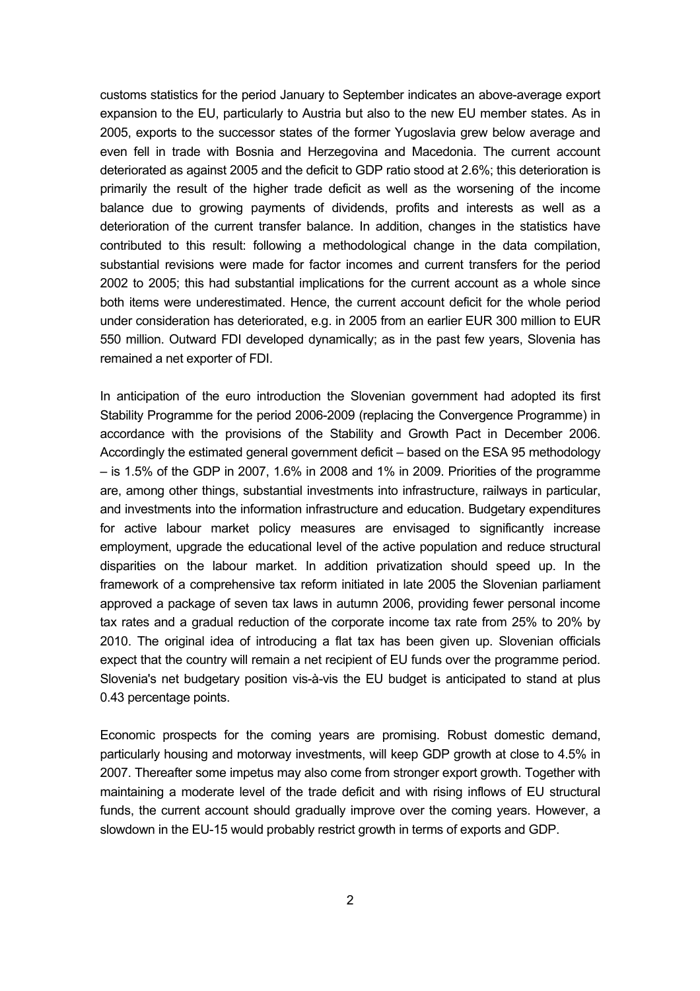customs statistics for the period January to September indicates an above-average export expansion to the EU, particularly to Austria but also to the new EU member states. As in 2005, exports to the successor states of the former Yugoslavia grew below average and even fell in trade with Bosnia and Herzegovina and Macedonia. The current account deteriorated as against 2005 and the deficit to GDP ratio stood at 2.6%; this deterioration is primarily the result of the higher trade deficit as well as the worsening of the income balance due to growing payments of dividends, profits and interests as well as a deterioration of the current transfer balance. In addition, changes in the statistics have contributed to this result: following a methodological change in the data compilation, substantial revisions were made for factor incomes and current transfers for the period 2002 to 2005; this had substantial implications for the current account as a whole since both items were underestimated. Hence, the current account deficit for the whole period under consideration has deteriorated, e.g. in 2005 from an earlier EUR 300 million to EUR 550 million. Outward FDI developed dynamically; as in the past few years, Slovenia has remained a net exporter of FDI.

In anticipation of the euro introduction the Slovenian government had adopted its first Stability Programme for the period 2006-2009 (replacing the Convergence Programme) in accordance with the provisions of the Stability and Growth Pact in December 2006. Accordingly the estimated general government deficit – based on the ESA 95 methodology  $-$  is 1.5% of the GDP in 2007, 1.6% in 2008 and 1% in 2009. Priorities of the programme are, among other things, substantial investments into infrastructure, railways in particular, and investments into the information infrastructure and education. Budgetary expenditures for active labour market policy measures are envisaged to significantly increase employment, upgrade the educational level of the active population and reduce structural disparities on the labour market. In addition privatization should speed up. In the framework of a comprehensive tax reform initiated in late 2005 the Slovenian parliament approved a package of seven tax laws in autumn 2006, providing fewer personal income tax rates and a gradual reduction of the corporate income tax rate from 25% to 20% by 2010. The original idea of introducing a flat tax has been given up. Slovenian officials expect that the country will remain a net recipient of EU funds over the programme period. Slovenia's net budgetary position vis-à-vis the EU budget is anticipated to stand at plus 0.43 percentage points.

Economic prospects for the coming years are promising. Robust domestic demand, particularly housing and motorway investments, will keep GDP growth at close to 4.5% in 2007. Thereafter some impetus may also come from stronger export growth. Together with maintaining a moderate level of the trade deficit and with rising inflows of EU structural funds, the current account should gradually improve over the coming years. However, a slowdown in the EU-15 would probably restrict growth in terms of exports and GDP.